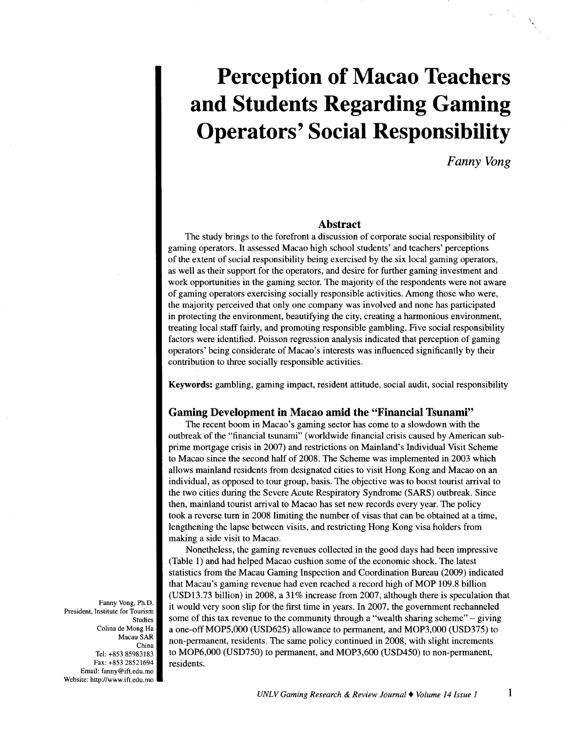# **Perception of Macao Teachers and Students Regarding Gaming Operators' Social Responsibility**

*Fanny Vong* 

\

# **Abstract**

The study brings to the forefront a discussion of corporate social responsibility of gaming operators. It assessed Macao high school students' and teachers' perceptions of the extent of social responsibility being exercised by the six local gaming operators, as well as their support for the operators, and desire for further gaming investment and work opportunities in the gaming sector. The majority of the respondents were not aware of gaming operators exercising socially responsible activities. Among those who were, the majority perceived that only one company was involved and none has participated in protecting the environment, beautifying the city, creating a harmonious environment, treating local staff fairly, and promoting responsible gambling. Five social responsibility factors were identified. Poisson regression analysis indicated that perception of gaming operators' being considerate of Macao's interests was influenced significantly by their contribution to three socially responsible activities.

Keywords: gambling, gaming impact, resident attitude, social audit, social responsibility

# **Gaming Development in Macao amid the "Financial Tsunami"**

The recent boom in Macao's gaming sector has come to a slowdown with the outbreak of the "financial tsunami" (worldwide financial crisis caused by American subprime mortgage crisis in 2007) and restrictions on Mainland's Individual Visit Scheme to Macao since the second half of 2008. The Scheme was implemented in 2003 which allows mainland residents from designated cities to visit Hong Kong and Macao on an individual, as opposed to tour group, basis. The objective was to boost tourist arrival to the two cities during the Severe Acute Respiratory Syndrome (SARS) outbreak. Since then, mainland tourist arrival to Macao has set new records every year. The policy took a reverse turn in 2008 limiting the number of visas that can be obtained at a time, lengthening the lapse between visits, and restricting Hong Kong visa holders from making a side visit to Macao.

Nonetheless, the gaming revenues collected in the good days had been impressive (Table 1) and had helped Macao cushion some of the economic shock. The latest statistics from the Macau Gaming Inspection and Coordination Bureau (2009) indicated that Macau's gaming revenue had even reached a record high of MOP 109.8 billion (USD13.73 billion) in 2008, a 31% increase from 2007, although there is speculation that it would very soon slip for the first time in years. In 2007, the government rechanneled some of this tax revenue to the community through a "wealth sharing scheme"- giving a one-off MOP5,000 (USD625) allowance to permanent, and MOP3,000 (USD375) to non-permanent, residents. The same policy continued in 2008, with slight increments to MOP6,000 (USD750) to permanent, and MOP3,600 (USD450) to non-permanent, residents.

Fanny Vong, Ph.D. President, Institute for Tourism Studies Colina de Mong Ha Macau SAR China Tel: +853 85983183 Fax: +853 28521694 Email: fanny@ift.edu.mo Website: http://www.ift.edu.mo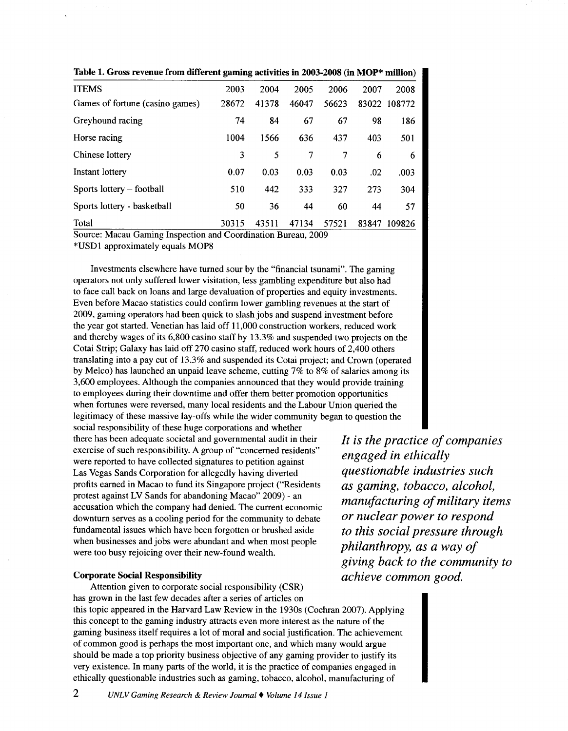| <b>ITEMS</b>                    | 2003  | 2004  | 2005  | 2006  | 2007  | 2008         |
|---------------------------------|-------|-------|-------|-------|-------|--------------|
| Games of fortune (casino games) | 28672 | 41378 | 46047 | 56623 |       | 83022 108772 |
| Greyhound racing                | 74    | 84    | 67    | 67    | 98    | 186          |
| Horse racing                    | 1004  | 1566  | 636   | 437   | 403   | 501          |
| Chinese lottery                 | 3     | 5     | 7     | 7     | 6     | 6            |
| Instant lottery                 | 0.07  | 0.03  | 0.03  | 0.03  | .02   | .003         |
| Sports lottery - football       | 510   | 442   | 333   | 327   | 273   | 304          |
| Sports lottery - basketball     | 50    | 36    | 44    | 60    | 44    | 57           |
| Total                           | 30315 | 43511 | 47134 | 57521 | 83847 | 109826       |

Table 1. Gross revenue from different gaming activities in 2003-2008 (in MOP\* million)

Source: Macau Gaming Inspection and Coordination Bureau, 2009

\*USDl approximately equals MOPS

Investments elsewhere have turned sour by the "financial tsunami". The gaming operators not only suffered lower visitation, less gambling expenditure but also had to face call back on loans and large devaluation of properties and equity investments. Even before Macao statistics could confirm lower gambling revenues at the start of 2009, gaming operators had been quick to slash jobs and suspend investment before the year got started. Venetian has laid off 11,000 construction workers, reduced work and thereby wages of its 6,800 casino staff by 13.3% and suspended two projects on the Cotai Strip; Galaxy has laid off 270 casino staff, reduced work hours of 2,400 others translating into a pay cut of 13.3% and suspended its Cotai project; and Crown (operated by Melco) has launched an unpaid leave scheme, cutting 7% to 8% of salaries among its 3,600 employees. Although the companies announced that they would provide training to employees during their downtime and offer them better promotion opportunities when fortunes were reversed, many local residents and the Labour Union queried the legitimacy of these massive lay-offs while the wider community began to question the

social responsibility of these huge corporations and whether there has been adequate societal and governmental audit in their exercise of such responsibility. A group of "concerned residents" were reported to have collected signatures to petition against Las Vegas Sands Corporation for allegedly having diverted profits earned in Macao to fund its Singapore project ("Residents protest against LV Sands for abandoning Macao" 2009)- an accusation which the company had denied. The current economic downturn serves as a cooling period for the community to debate fundamental issues which have been forgotten or brushed aside when businesses and jobs were abundant and when most people were too busy rejoicing over their new-found wealth.

#### Corporate Social Responsibility

Attention given to corporate social responsibility (CSR) has grown in the last few decades after a series of articles on this topic appeared in the Harvard Law Review in the 1930s (Cochran 2007). Applying this concept to the gaming industry attracts even more interest as the nature of the gaming business itself requires a lot of moral and social justification. The achievement of common good is perhaps the most important one, and which many would argue should be made a top priority business objective of any gaming provider to justify its very existence. In many parts of the world, it is the practice of companies engaged in ethically questionable industries such as gaming, tobacco, alcohol, manufacturing of

*It is the practice of companies engaged in ethically questionable industries such as gaming, tobacco, alcohol, manufacturing of military items or nuclear power to respond to this social pressure through philanthropy, as a way of giving back to the community to achieve common good.*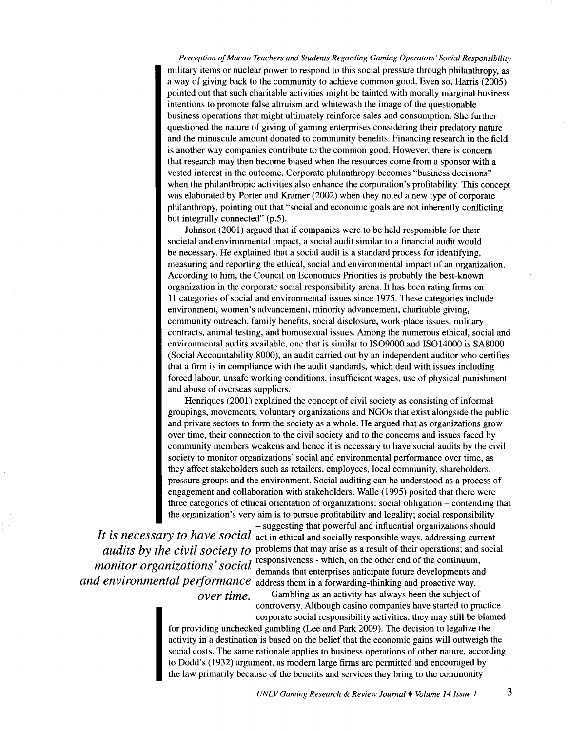*Perception of Macao Teachers and Students Regarding Gaming Operators' Social Responsibility*  military items or nuclear power to respond to this social pressure through philanthropy, as a way of giving back to the community to achieve common good. Even so, Harris (2005) pointed out that such charitable activities might be tainted with morally marginal business intentions to promote false altruism and whitewash the image of the questionable business operations that might ultimately reinforce sales and consumption. She further questioned the nature of giving of gaming enterprises considering their predatory nature and the minuscule amount donated to community benefits. Financing research in the field is another way companies contribute to the common good. However, there is concern that research may then become biased when the resources come from a sponsor with a vested interest in the outcome. Corporate philanthropy becomes "business decisions" when the philanthropic activities also enhance the corporation's profitability. This concept was elaborated by Porter and Kramer (2002) when they noted a new type of corporate philanthropy, pointing out that "social and economic goals are not inherently conflicting but integrally connected" (p.5).

Johnson (2001) argued that if companies were to be held responsible for their societal and environmental impact, a social audit similar to a financial audit would be necessary. He explained that a social audit is a standard process for identifying, measuring and reporting the ethical, social and environmental impact of an organization. According to him, the Council on Economics Priorities is probably the best-known organization in the corporate social responsibility arena. It has been rating firms on 11 categories of social and environmental issues since 1975. These categories include environment, women's advancement, minority advancement, charitable giving, community outreach, family benefits, social disclosure, work-place issues, military contracts, animal testing, and homosexual issues. Among the numerous ethical, social and environmental audits available, one that is similar to IS09000 and IS014000 is SA8000 (Social Accountability 8000), an audit carried out by an independent auditor who certifies that a firm is in compliance with the audit standards, which deal with issues including forced labour, unsafe working conditions, insufficient wages, use of physical punishment and abuse of overseas suppliers.

Henriques  $(2001)$  explained the concept of civil society as consisting of informal groupings, movements, voluntary organizations and NGOs that exist alongside the public and private sectors to form the society as a whole. He argued that as organizations grow over time, their connection to the civil society and to the concerns and issues faced by community members weakens and hence it is necessary to have social audits by the civil society to monitor organizations' social and environmental performance over time, as they affect stakeholders such as retailers, employees, local community, shareholders, pressure groups and the environment. Social auditing can be understood as a process of engagement and collaboration with stakeholders. Walle (1995) posited that there were three categories of ethical orientation of organizations: social obligation - contending that the organization's very aim is to pursue profitability and legality; social responsibility

-suggesting that powerful and influential organizations should *It is necessary to have social* act in ethical and socially responsible ways, addressing current *audits by the civil society to* problems that may arise as a result of their operations; and social  $\frac{d}{dx}$   $\frac{d}{dx}$   $\frac{d}{dx}$   $\frac{d}{dx}$   $\frac{d}{dx}$   $\frac{d}{dx}$  responsiveness - which, on the other end of the continuum, *monitor organizations' social* demands that enterprises anticipate future developments and *and environmental performance* address them in a forwarding-thinking and proactive way.

*over time.* Gambling as an activity has always been the subject of controversy. Although casino companies have started to practice corporate social responsibility activities, they may still be blamed

for providing unchecked gambling (Lee and Park 2009). The decision to legalize the activity in a destination is based on the belief that the economic gains will outweigh the social costs. The same rationale applies to business operations of other nature, according to Dodd's (1932) argument, as modem large firms are permitted and encouraged by the law primarily because of the benefits and services they bring to the community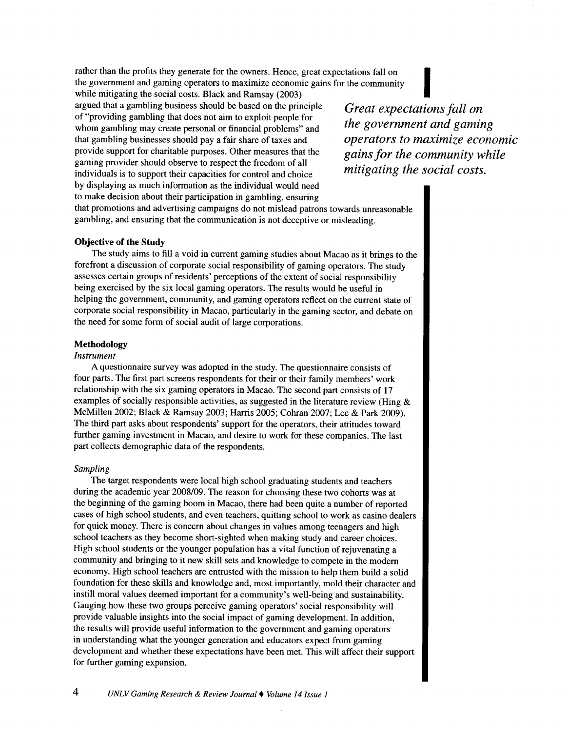rather than the profits they generate for the owners. Hence, great expectations fall on the government and gaming operators to maximize economic gains for the community rather than the profits they generate for the owners. Hence, great expectations fall on<br>the government and gaming operators to maximize economic gains for the community<br>while mitigating the social costs. Black and Ramsay (

argued that a gambling business should be based on the principle of "providing gambling that does not aim to exploit people for whom gambling may create personal or financial problems" and that gambling businesses should pay a fair share of taxes and provide support for charitable purposes. Other measures that the gaming provider should observe to respect the freedom of all individuals is to support their capacities for control and choice by displaying as much information as the individual would need to make decision about their participation in gambling, ensuring

*Great expectations fall on the government and gaming operators to maximize economic gains for the community while mitigating the social costs.* 

that promotions and advertising campaigns do not mislead patrons towards unreasonable gambling, and ensuring that the communication is not deceptive or misleading.

## **Objective of the Study**

The study aims to fill a void in current gaming studies about Macao as it brings to the forefront a discussion of corporate social responsibility of gaming operators. The study assesses certain groups of residents' perceptions of the extent of social responsibility being exercised by the six local gaming operators. The results would be useful in helping the government, community, and gaming operators reflect on the current state of corporate social responsibility in Macao, particularly in the gaming sector, and debate on the need for some form of social audit of large corporations.

## **Methodology**

#### *Instrument*

A questionnaire survey was adopted in the study. The questionnaire consists of four parts. The first part screens respondents for their or their family members' work relationship with the six gaming operators in Macao. The second part consists of <sup>17</sup> examples of socially responsible activities, as suggested in the literature review (Hing  $\&$ McMillen 2002; Black & Ramsay 2003; Harris 2005; Cobran 2007; Lee & Park 2009). The third part asks about respondents' support for the operators, their attitudes toward further gaming investment in Macao, and desire to work for these companies. The last part collects demographic data of the respondents.

#### *Sampling*

The target respondents were local high school graduating students and teachers during the academic year 2008/09. The reason for choosing these two cohorts was at the beginning of the gaming boom in Macao, there had been quite a number of reported cases of high school students, and even teachers, quitting school to work as casino dealers for quick money. There is concern about changes in values among teenagers and high school teachers as they become short-sighted when making study and career choices. High school students or the younger population has a vital function of rejuvenating a community and bringing to it new skill sets and knowledge to compete in the modem economy. High school teachers are entrusted with the mission to help them build a solid foundation for these skills and knowledge and, most importantly, mold their character and instill moral values deemed important for a community's well-being and sustainability. Gauging how these two groups perceive gaming operators' social responsibility will provide valuable insights into the social impact of gaming development. In addition, the results will provide useful information to the government and gaming operators in understanding what the younger generation and educators expect from gaming development and whether these expectations have been met. This will affect their support for further gaming expansion.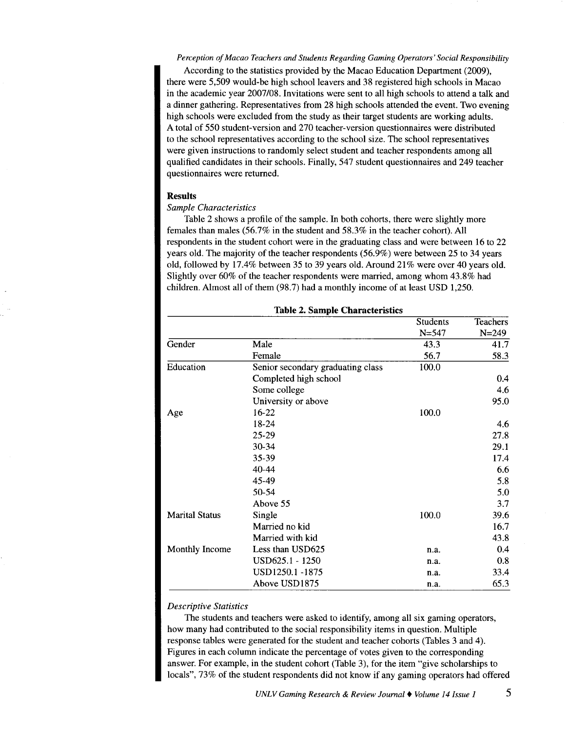*Perception of Macao Teachers and Students Regarding Gaming Operators' Social Responsibility* 

According to the statistics provided by the Macao Education Department (2009), there were 5,509 would-be high schoolleavers and 38 registered high schools in Macao in the academic year 2007/08. Invitations were sent to all high schools to attend a talk and a dinner gathering. Representatives from 28 high schools attended the event. Two evening high schools were excluded from the study as their target students are working adults. A total of 550 student-version and 270 teacher-version questionnaires were distributed to the school representatives according to the school size. The school representatives were given instructions to randomly select student and teacher respondents among all qualified candidates in their schools. Finally, 547 student questionnaires and 249 teacher questionnaires were returned.

#### **Results**

## *Sample Characteristics*

Table 2 shows a profile of the sample. In both cohorts, there were slightly more females than males (56.7% in the student and 58.3% in the teacher cohort). All respondents in the student cohort were in the graduating class and were between 16 to 22 years old. The majority of the teacher respondents (56.9%) were between 25 to 34 years old, followed by 17.4% between 35 to 39 years old. Around 21% were over 40 years old. Slightly over 60% of the teacher respondents were married, among whom 43.8% had children. Almost all of them (98.7) had a monthly income of at least USD 1,250.

|                       |                                   | <b>Students</b> | <b>Teachers</b> |
|-----------------------|-----------------------------------|-----------------|-----------------|
|                       |                                   | $N = 547$       | $N = 249$       |
| Gender                | Male                              | 43.3            | 41.7            |
|                       | Female                            | 56.7            | 58.3            |
| Education             | Senior secondary graduating class | 100.0           |                 |
|                       | Completed high school             |                 | 0.4             |
|                       | Some college                      |                 | 4.6             |
|                       | University or above               |                 | 95.0            |
| Age                   | 16-22                             | 100.0           |                 |
|                       | 18-24                             |                 | 4.6             |
|                       | 25-29                             |                 | 27.8            |
|                       | 30-34                             |                 | 29.1            |
|                       | 35-39                             |                 | 17.4            |
|                       | 40-44                             |                 | 6.6             |
|                       | 45-49                             |                 | 5.8             |
|                       | 50-54                             |                 | 5.0             |
|                       | Above 55                          |                 | 3.7             |
| <b>Marital Status</b> | Single                            | 100.0           | 39.6            |
|                       | Married no kid                    |                 | 16.7            |
|                       | Married with kid                  |                 | 43.8            |
| <b>Monthly Income</b> | Less than USD625                  | n.a.            | 0.4             |
|                       | USD625.1 - 1250                   | n.a.            | 0.8             |
|                       | USD1250.1-1875                    | n.a.            | 33.4            |
|                       | Above USD1875                     | n.a.            | 65.3            |

## **Table 2. Sample Characteristics**

## *Descriptive Statistics*

The students and teachers were asked to identify, among all six gaming operators, how many had contributed to the social responsibility items in question. Multiple response tables were generated for the student and teacher cohorts (Tables 3 and 4). Figures in each column indicate the percentage of votes given to the corresponding answer. For example, in the student cohort (Table 3), for the item "give scholarships to locals", 73% of the student respondents did not know if any gaming operators had offered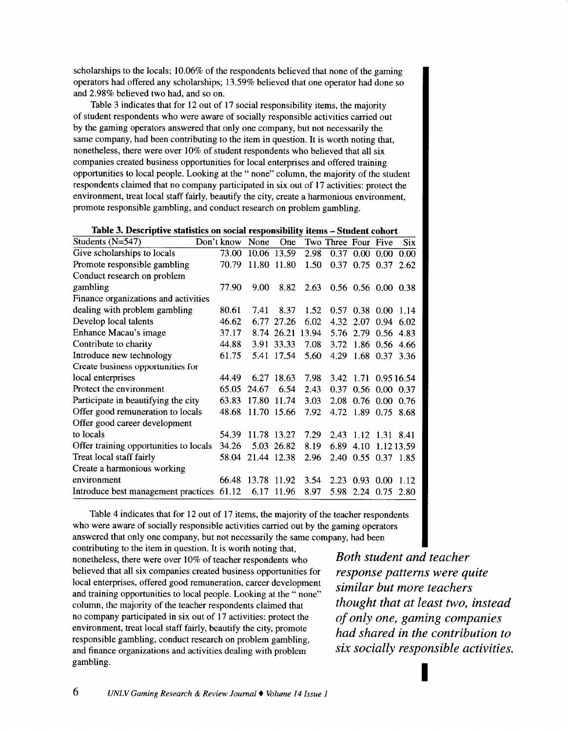scholarships to the locals; 10.06% of the respondents believed that none of the gaming operators had offered any scholarships; 13.59% believed that one operator had done so and 2.98% believed two had, and so on.

Table 3 indicates that for 12 out of 17 social responsibility items, the majority of student respondents who were aware of socially responsible activities carried out by the gaming operators answered that only one company, but not necessarily the same company, had been contributing to the item in question. It is worth noting that, nonetheless, there were over 10% of student respondents who believed that all six companies created business opportunities for local enterprises and offered training opportunities to local people. Looking at the " none" column, the majority of the student respondents claimed that no company participated in six out of 17 activities: protect the environment, treat local staff fairly, beautify the city, create a harmonious environment, promote responsible gambling, and conduct research on problem gambling.

| Students $(N=547)$                        | Don't know | None        | One         |       | Two Three Four Five |                |                      | <b>Six</b> |
|-------------------------------------------|------------|-------------|-------------|-------|---------------------|----------------|----------------------|------------|
| Give scholarships to locals               | 73.00      |             | 10.06 13.59 | 2.98  | 0.37                | 0.00           | 0.00                 | 0.00       |
| Promote responsible gambling              | 70.79      |             | 11.80 11.80 | 1.50  |                     | 0.37 0.75 0.37 |                      | 2.62       |
| Conduct research on problem               |            |             |             |       |                     |                |                      |            |
| gambling                                  | 77.90      | 9.00        | 8.82        | 2.63  |                     |                | 0.56 0.56 0.00 0.38  |            |
| Finance organizations and activities      |            |             |             |       |                     |                |                      |            |
| dealing with problem gambling             | 80.61      | 7.41        | 8.37        | 1.52  | 0.57                |                | $0.38$ $0.00$ 1.14   |            |
| Develop local talents                     | 46.62      |             | 6.77 27.26  | 6.02  |                     |                | 4.32 2.07 0.94 6.02  |            |
| Enhance Macau's image                     | 37.17      |             | 8.74 26.21  | 13.94 |                     |                | 5.76 2.79 0.56 4.83  |            |
| Contribute to charity                     | 44.88      | 3.91        | 33.33       | 7.08  |                     |                | 3.72 1.86 0.56 4.66  |            |
| Introduce new technology                  | 61.75      | 5.41        | 17.54       | 5.60  |                     |                | 4.29 1.68 0.37 3.36  |            |
| Create business opportunities for         |            |             |             |       |                     |                |                      |            |
| local enterprises                         | 44.49      |             | 6.27 18.63  | 7.98  |                     |                | 3.42 1.71 0.95 16.54 |            |
| Protect the environment                   | 65.05      | 24.67       | 6.54        | 2.43  |                     |                | 0.37 0.56 0.00 0.37  |            |
| Participate in beautifying the city       | 63.83      | 17.80       | 11.74       | 3.03  |                     |                | 2.08 0.76 0.00 0.76  |            |
| Offer good remuneration to locals         | 48.68      |             | 11.70 15.66 | 7.92  |                     |                | 4.72 1.89 0.75 8.68  |            |
| Offer good career development             |            |             |             |       |                     |                |                      |            |
| to locals                                 | 54.39      |             | 11.78 13.27 | 7.29  | 2.43                |                | 1.12 1.31 8.41       |            |
| Offer training opportunities to locals    | 34.26      |             | 5.03 26.82  | 8.19  | 6.89                | 4.10           | 1.12.13.59           |            |
| Treat local staff fairly                  | 58.04      | 21.44 12.38 |             | 2.96  |                     |                | 2.40 0.55 0.37 1.85  |            |
| Create a harmonious working               |            |             |             |       |                     |                |                      |            |
| environment                               | 66.48      | 13.78 11.92 |             | 3.54  | 2.23                | $0.93$ 0.00    |                      | 1.12       |
| Introduce best management practices 61.12 |            |             | 6.17 11.96  | 8.97  | 5.98                |                | $2.24\quad 0.75$     | 2.80       |

Table 4 indicates that for 12 out of 17 items, the majority of the teacher respondents who were aware of socially responsible activities carried out by the gaming operators answered that only one company, but not necessarily the same company, had been

contributing to the item in question. It is worth noting that, nonetheless, there were over 10% of teacher respondents who believed that all six companies created business opportunities for local enterprises, offered good remuneration, career development and training opportunities to local people. Looking at the " none" column, the majority of the teacher respondents claimed that no company participated in six out of 17 activities: protect the environment, treat local staff fairly, beautify the city, promote responsible gambling, conduct research on problem gambling, and finance organizations and activities dealing with problem gambling.

*Both student and teacher response patterns were quite similar but more teachers thought that at least two, instead of only one, gaming companies had shared in the contribution to six socially responsible activities.* 

I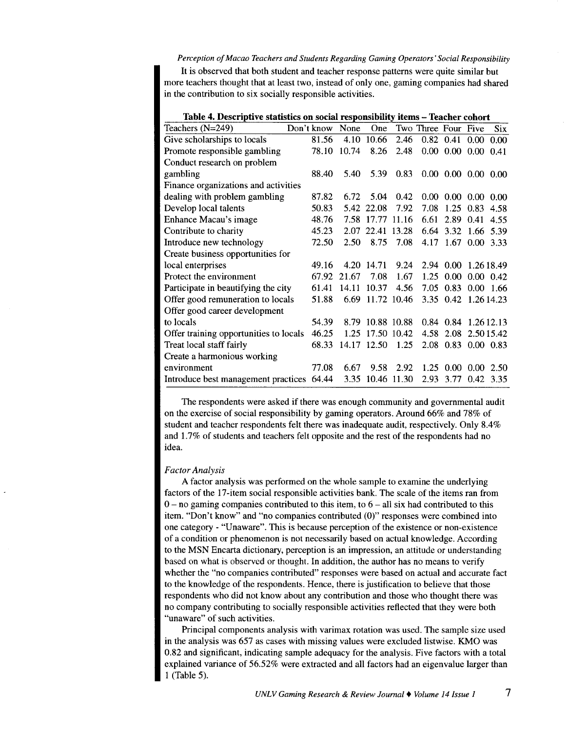#### *Perception of Macao Teachers and Students Regarding Gaming Operators' Social Responsibility*

It is observed that both student and teacher response patterns were quite similar but more teachers thought that at least two, instead of only one, gaming companies had shared in the contribution to six socially responsible activities.

| Table 4. Descriptive statistics on social responsibility items - Teacher cohort |            |       |             |      |                     |                             |                   |            |
|---------------------------------------------------------------------------------|------------|-------|-------------|------|---------------------|-----------------------------|-------------------|------------|
| Teachers $(N=249)$                                                              | Don't know | None  | One         |      | Two Three Four Five |                             |                   | <b>Six</b> |
| Give scholarships to locals                                                     | 81.56      | 4.10  | 10.66       | 2.46 |                     | $0.82 \quad 0.41$           | 0.00              | 0.00       |
| Promote responsible gambling                                                    | 78.10      | 10.74 | 8.26        | 2.48 |                     | $0.00\ 0.00\ 0.00$          |                   | 0.41       |
| Conduct research on problem                                                     |            |       |             |      |                     |                             |                   |            |
| gambling                                                                        | 88.40      | 5.40  | 5.39        | 0.83 |                     | $0.00$ $0.00$ $0.00$ $0.00$ |                   |            |
| Finance organizations and activities                                            |            |       |             |      |                     |                             |                   |            |
| dealing with problem gambling                                                   | 87.82      | 6.72  | 5.04        | 0.42 | $0.00 -$            | $0.00 \pm 0.00$             |                   | 0.00       |
| Develop local talents                                                           | 50.83      |       | 5.42 22.08  | 7.92 | 7.08                |                             | $1.25 \quad 0.83$ | 4.58       |
| Enhance Macau's image                                                           | 48.76      | 7.58  | 17.77 11.16 |      | 6.61                | 2.89                        | 0.41              | 4.55       |
| Contribute to charity                                                           | 45.23      | 2.07  | 22.41 13.28 |      | 6.64                | 3.32                        | -1.66             | 5.39       |
| Introduce new technology                                                        | 72.50      | 2.50  | 8.75        | 7.08 | 4.17                | 1.67 0.00 3.33              |                   |            |
| Create business opportunities for                                               |            |       |             |      |                     |                             |                   |            |
| local enterprises                                                               | 49.16      | 4.20  | 14.71       | 9.24 |                     | 2.94 0.00 1.26 18.49        |                   |            |
| Protect the environment                                                         | 67.92      | 21.67 | 7.08        | 1.67 | 1.25                | 0.00                        | $0.00 \quad 0.42$ |            |
| Participate in beautifying the city                                             | 61.41      | 14.11 | 10.37       | 4.56 |                     | 7.05 0.83                   | $0.00$ 1.66       |            |
| Offer good remuneration to locals                                               | 51.88      | 6.69  | 11.72 10.46 |      |                     | 3.35 0.42 1.26 14.23        |                   |            |
| Offer good career development                                                   |            |       |             |      |                     |                             |                   |            |
| to locals                                                                       | 54.39      | 8.79  | 10.88 10.88 |      |                     | 0.84 0.84 1.26 12.13        |                   |            |
| Offer training opportunities to locals                                          | 46.25      | 1.25  | 17.50 10.42 |      |                     | 4.58 2.08 2.50 15.42        |                   |            |
| Treat local staff fairly                                                        | 68.33      |       | 14.17 12.50 | 1.25 |                     | 2.08 0.83 0.00 0.83         |                   |            |
| Create a harmonious working                                                     |            |       |             |      |                     |                             |                   |            |
| environment                                                                     | 77.08      | 6.67  | 9.58        | 2.92 |                     | 1.25 0.00                   | -0.00             | 2.50       |
| Introduce best management practices 64.44                                       |            | 3.35  | 10.46 11.30 |      | 2.93                |                             | 3.77 0.42         | 3.35       |

The respondents were asked if there was enough community and governmental audit on the exercise of social responsibility by gaming operators. Around 66% and 78% of student and teacher respondents felt there was inadequate audit, respectively. Only 8.4% and 1.7% of students and teachers felt opposite and the rest of the respondents had no idea.

#### *Factor Analysis*

A factor analysis was performed on the whole sample to examine the underlying factors of the 17-item social responsible activities bank. The scale of the items ran from  $0$  – no gaming companies contributed to this item, to  $6$  – all six had contributed to this item. "Don't know" and "no companies contributed (0)" responses were combined into one category- "Unaware". This is because perception of the existence or non-existence of a condition or phenomenon is not necessarily based on actual knowledge. According to the MSN Encarta dictionary, perception is an impression, an attitude or understanding based on what is observed or thought. In addition, the author has no means to verify whether the "no companies contributed" responses were based on actual and accurate fact to the knowledge of the respondents. Hence, there is justification to believe that those respondents who did not know about any contribution and those who thought there was no company contributing to socially responsible activities reflected that they were both "unaware" of such activities.

Principal components analysis with varimax rotation was used. The sample size used in the analysis was 657 as cases with missing values were excluded Iistwise. KMO was 0.82 and significant, indicating sample adequacy for the analysis. Five factors with a total explained variance of 56.52% were extracted and all factors had an eigenvalue larger than 1 (Table 5).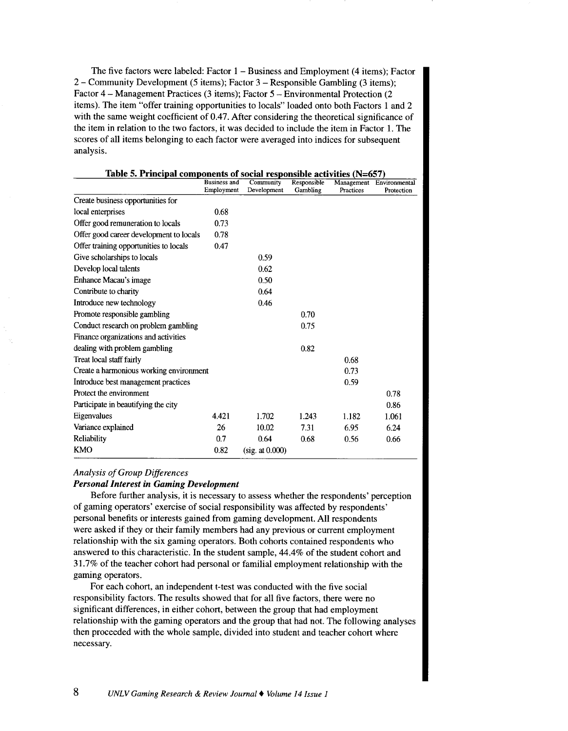The five factors were labeled: Factor  $1 -$  Business and Employment (4 items); Factor 2- Community Development (5 items); Factor 3-Responsible Gambling (3 items); Factor 4- Management Practices (3 items); Factor 5- Environmental Protection (2 items). The item "offer training opportunities to locals" loaded onto both Factors 1 and 2 with the same weight coefficient of 0.47. After considering the theoretical significance of the item in relation to the two factors, it was decided to include the item in Factor 1. The scores of all items belonging to each factor were averaged into indices for subsequent analysis.

| Table 5. Principal components of social responsible activities (N=657) |                                   |                          |                         |           |                                        |
|------------------------------------------------------------------------|-----------------------------------|--------------------------|-------------------------|-----------|----------------------------------------|
|                                                                        | <b>Business and</b><br>Employment | Community<br>Development | Responsible<br>Gambling | Practices | Management Environmental<br>Protection |
| Create business opportunities for                                      |                                   |                          |                         |           |                                        |
| local enterprises                                                      | 0.68                              |                          |                         |           |                                        |
| Offer good remuneration to locals                                      | 0.73                              |                          |                         |           |                                        |
| Offer good career development to locals                                | 0.78                              |                          |                         |           |                                        |
| Offer training opportunities to locals                                 | 0.47                              |                          |                         |           |                                        |
| Give scholarships to locals                                            |                                   | 0.59                     |                         |           |                                        |
| Develop local talents                                                  |                                   | 0.62                     |                         |           |                                        |
| Enhance Macau's image                                                  |                                   | 0.50                     |                         |           |                                        |
| Contribute to charity                                                  |                                   | 0.64                     |                         |           |                                        |
| Introduce new technology                                               |                                   | 0.46                     |                         |           |                                        |
| Promote responsible gambling                                           |                                   |                          | 0.70                    |           |                                        |
| Conduct research on problem gambling                                   |                                   |                          | 0.75                    |           |                                        |
| Finance organizations and activities                                   |                                   |                          |                         |           |                                        |
| dealing with problem gambling                                          |                                   |                          | 0.82                    |           |                                        |
| Treat local staff fairly                                               |                                   |                          |                         | 0.68      |                                        |
| Create a harmonious working environment                                |                                   |                          |                         | 0.73      |                                        |
| Introduce best management practices                                    |                                   |                          |                         | 0.59      |                                        |
| Protect the environment                                                |                                   |                          |                         |           | 0.78                                   |
| Participate in beautifying the city                                    |                                   |                          |                         |           | 0.86                                   |
| Eigenvalues                                                            | 4.421                             | 1.702                    | 1.243                   | 1.182     | 1.061                                  |
| Variance explained                                                     | 26                                | 10.02                    | 7.31                    | 6.95      | 6.24                                   |
| Reliability                                                            | 0.7                               | 0.64                     | 0.68                    | 0.56      | 0.66                                   |
| <b>KMO</b>                                                             | 0.82                              | (sig. at 0.000)          |                         |           |                                        |

# *Analysis of Group Differences*

## *Personal Interest in Gaming Development*

Before further analysis, it is necessary to assess whether the respondents' perception of gaming operators' exercise of social responsibility was affected by respondents' personal benefits or interests gained from gaming development. All respondents were asked if they or their family members had any previous or current employment relationship with the six gaming operators. Both cohorts contained respondents who answered to this characteristic. In the student sample, 44.4% of the student cohort and 31.7% of the teacher cohort had personal or familial employment relationship with the gaming operators.

For each cohort, an independent t-test was conducted with the five social responsibility factors. The results showed that for all five factors, there were no significant differences, in either cohort, between the group that had employment relationship with the gaming operators and the group that had not. The following analyses then proceeded with the whole sample, divided into student and teacher cohort where necessary.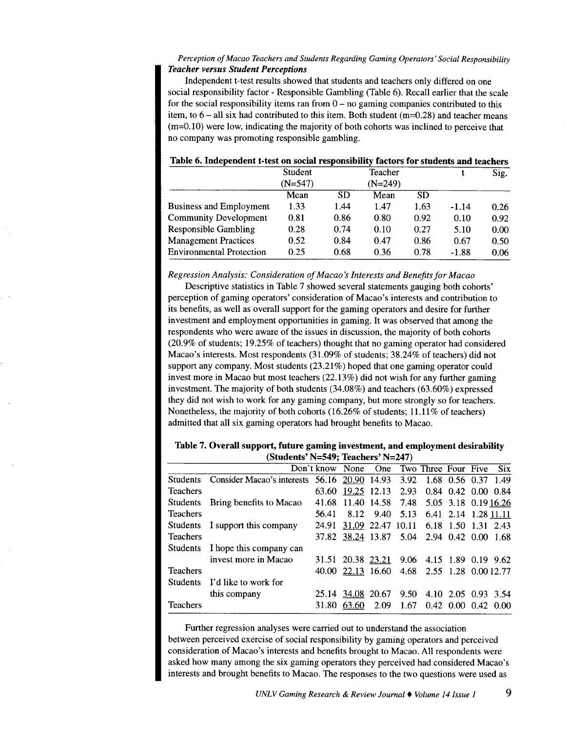## *Perception of Macao Teachers and Students Regarding Gaming Operators' Social Responsibility Teacher versus Student Perceptions*

Independent t-test results showed that students and teachers only differed on one social responsibility factor - Responsible Gambling (Table 6). Recall earlier that the scale for the social responsibility items ran from  $0 -$  no gaming companies contributed to this item, to  $6$  – all six had contributed to this item. Both student (m=0.28) and teacher means  $(m=0.10)$  were low, indicating the majority of both cohorts was inclined to perceive that no company was promoting responsible gambling.

|                                 | Student   |           | Teacher   |      |         | Sig. |
|---------------------------------|-----------|-----------|-----------|------|---------|------|
|                                 | $(N=547)$ |           | $(N=249)$ |      |         |      |
|                                 | Mean      | <b>SD</b> | Mean      | SD   |         |      |
| Business and Employment         | 1.33      | 1.44      | 1.47      | 1.63 | $-1.14$ | 0.26 |
| <b>Community Development</b>    | 0.81      | 0.86      | 0.80      | 0.92 | 0.10    | 0.92 |
| <b>Responsible Gambling</b>     | 0.28      | 0.74      | 0.10      | 0.27 | 5.10    | 0.00 |
| <b>Management Practices</b>     | 0.52      | 0.84      | 0.47      | 0.86 | 0.67    | 0.50 |
| <b>Environmental Protection</b> | 0.25      | 0.68      | 0.36      | 0.78 | $-1.88$ | 0.06 |

# Table 6. Independent t-test on social responsibility factors for students and teachers

*Regression Analysis: Consideration of Macao's Interests and Benefits for Macao* 

Descriptive statistics in Table 7 showed several statements gauging both cohorts' perception of gaming operators' consideration of Macao's interests and contribution to its benefits, as well as overall support for the gaming operators and desire for further investment and employment opportunities in gaming. It was observed that among the respondents who were aware of the issues in discussion, the majority of both cohorts (20.9% of students; 19.25% of teachers) thought that no gaming operator had considered Macao's interests. Most respondents (31.09% of students; 38.24% of teachers) did not support any company. Most students (23 .21%) hoped that one gaming operator could invest more in Macao but most teachers (22.13%) did not wish for any further gaming investment. The majority of both students (34.08%) and teachers (63.60%) expressed they did not wish to work for any gaming company, but more strongly so for teachers. Nonetheless, the majority of both cohorts (16.26% of students; 11.11% of teachers) admitted that all six gaming operators had brought benefits to Macao.

|                 | (Students' N=549; Teachers' N=247)           |                     |                                            |      |      |                           |                             |            |
|-----------------|----------------------------------------------|---------------------|--------------------------------------------|------|------|---------------------------|-----------------------------|------------|
|                 |                                              | Don't know None One |                                            |      |      | Two Three Four Five       |                             | <b>Six</b> |
| <b>Students</b> | Consider Macao's interests 56.16 20.90 14.93 |                     |                                            |      |      | 3.92 1.68 0.56 0.37 1.49  |                             |            |
| <b>Teachers</b> |                                              | 63.60               | 19.25 12.13                                |      | 2.93 |                           | $0.84$ 0.42 0.00 0.84       |            |
| <b>Students</b> | Bring benefits to Macao                      | 41.68               | 11.40 14.58                                |      |      | 7.48 5.05 3.18 0.19 16.26 |                             |            |
| <b>Teachers</b> |                                              | 56.41               | 8.12                                       | 9.40 | 5.13 |                           | 6.41 2.14 1.28 11.11        |            |
| <b>Students</b> | I support this company                       | 24.91               | 31.09 22.47 10.11                          |      |      |                           | 6.18 1.50 1.31 2.43         |            |
| <b>Teachers</b> |                                              |                     | 37.82 38.24 13.87 5.04 2.94 0.42 0.00 1.68 |      |      |                           |                             |            |
| <b>Students</b> | I hope this company can                      |                     |                                            |      |      |                           |                             |            |
|                 | invest more in Macao                         |                     | 31.51 20.38 23.21                          |      | 9.06 |                           | 4.15 1.89 0.19 9.62         |            |
| <b>Teachers</b> |                                              |                     | 40.00 22.13 16.60                          |      |      | 4.68 2.55 1.28 0.00 12.77 |                             |            |
| <b>Students</b> | I'd like to work for                         |                     |                                            |      |      |                           |                             |            |
|                 | this company                                 | 25.14               | 34.08 20.67                                |      | 9.50 |                           | 4.10 2.05 0.93 3.54         |            |
| <b>Teachers</b> |                                              | 31.80               | 63.60                                      | 2.09 | 1.67 |                           | $0.42$ $0.00$ $0.42$ $0.00$ |            |

Table 7. Overall support, future gaming investment, and employment desirability (Students' N=549; Teachers' N=247)

Further regression analyses were carried out to understand the association between perceived exercise of social responsibility by gaming operators and perceived consideration of Macao's interests and benefits brought to Macao. All respondents were asked how many among the six gaming operators they perceived had considered Macao's interests and brought benefits to Macao. The responses to the two questions were used as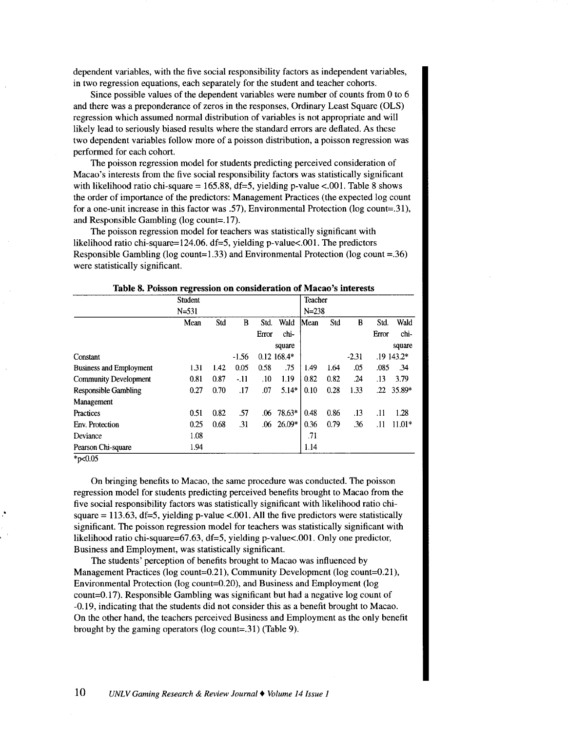dependent variables, with the five social responsibility factors as independent variables, in two regression equations, each separately for the student and teacher cohorts.

Since possible values of the dependent variables were number of counts from 0 to 6 and there was a preponderance of zeros in the responses, Ordinary Least Square (OLS) regression which assumed normal distribution of variables is not appropriate and will likely lead to seriously biased results where the standard errors are deflated. As these two dependent variables follow more of a poisson distribution, a poisson regression was performed for each cohort.

The poisson regression model for students predicting perceived consideration of Macao's interests from the five social responsibility factors was statistically significant with likelihood ratio chi-square = 165.88, df=5, yielding p-value <.001. Table 8 shows the order of importance of the predictors: Management Practices (the expected log count for a one-unit increase in this factor was .57), Environmental Protection (log count=.31), and Responsible Gambling (log count=.17).

The poisson regression model for teachers was statistically significant with likelihood ratio chi-square=124.06. df=5, yielding p-value<.001. The predictors Responsible Gambling ( $log$  count=1.33) and Environmental Protection ( $log$  count =.36) were statistically significant.

|                                | Student   |      |         |       |              | Teacher   |      |         |       |            |
|--------------------------------|-----------|------|---------|-------|--------------|-----------|------|---------|-------|------------|
|                                | $N = 531$ |      |         |       |              | $N = 238$ |      |         |       |            |
|                                | Mean      | Std  | B       | Std.  | Wald         | Mean      | Std  | B       | Std.  | Wald       |
|                                |           |      |         | Error | chi-         |           |      |         | Error | chi-       |
|                                |           |      |         |       | square       |           |      |         |       | square     |
| Constant                       |           |      | $-1.56$ |       | $0.12168.4*$ |           |      | $-2.31$ |       | .19 143.2* |
| <b>Business and Employment</b> | 1.31      | 1.42 | 0.05    | 0.58  | .75          | 1.49      | 1.64 | .05     | .085  | .34        |
| <b>Community Development</b>   | 0.81      | 0.87 | $-11$   | .10   | 1.19         | 0.82      | 0.82 | .24     | .13   | 3.79       |
| <b>Responsible Gambling</b>    | 0.27      | 0.70 | .17     | .07   | $5.14*$      | 0.10      | 0.28 | 1.33    | .22   | $35.89*$   |
| Management                     |           |      |         |       |              |           |      |         |       |            |
| Practices                      | 0.51      | 0.82 | .57     | .06   | 78.63*       | 0.48      | 0.86 | .13     | .11   | 1.28       |
| Env. Protection                | 0.25      | 0.68 | .31     | .06   | $26.09*$     | 0.36      | 0.79 | .36     | .11   | $11.01*$   |
| Deviance                       | 1.08      |      |         |       |              | .71       |      |         |       |            |
| Pearson Chi-square             | 1.94      |      |         |       |              | 1.14      |      |         |       |            |

Table 8. Poisson regression on consideration of Macao's interests

 $*_{p<0.05}$ 

On bringing benefits to Macao, the same procedure was conducted. The poisson regression model for students predicting perceived benefits brought to Macao from the five social responsibility factors was statistically significant with likelihood ratio chisquare = 113.63, df=5, yielding p-value <.001. All the five predictors were statistically significant. The poisson regression model for teachers was statistically significant with likelihood ratio chi-square=67.63, df=5, yielding p-value<.001. Only one predictor, Business and Employment, was statistically significant.

The students' perception of benefits brought to Macao was influenced by Management Practices (log count=0.21), Community Development (log count=0.21), Environmental Protection (log count=0.20), and Business and Employment (log count=0.17). Responsible Gambling was significant but had a negative log count of -0.19, indicating that the students did not consider this as a benefit brought to Macao. On the other hand, the teachers perceived Business and Employment as the only benefit brought by the gaming operators (log count=.31) (Table 9).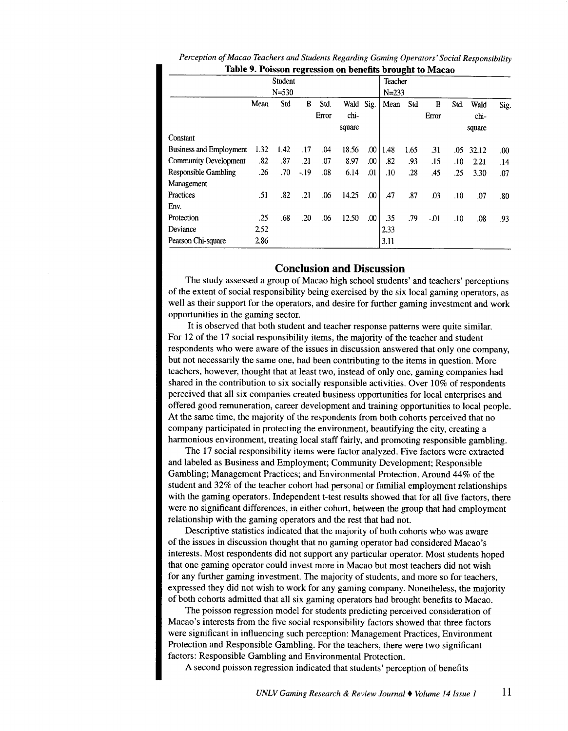|                                |      | Student   |       |       |        |      | Teacher   |      |       |      |        |      |
|--------------------------------|------|-----------|-------|-------|--------|------|-----------|------|-------|------|--------|------|
|                                |      | $N = 530$ |       |       |        |      | $N = 233$ |      |       |      |        |      |
|                                | Mean | Std       | В     | Std.  | Wald   | Sig. | Mean      | Std  | B     | Std. | Wald   | Sig. |
|                                |      |           |       | Error | chi-   |      |           |      | Error |      | chi.   |      |
|                                |      |           |       |       | square |      |           |      |       |      | square |      |
| Constant                       |      |           |       |       |        |      |           |      |       |      |        |      |
| <b>Business and Employment</b> | 1.32 | 1.42      | .17   | .04   | 18.56  | .00  | 1.48      | 1.65 | .31   | .05  | 32.12  | .00  |
| <b>Community Development</b>   | .82  | .87       | .21   | .07   | 8.97   | .00  | .82       | .93  | .15   | .10  | 2.21   | .14  |
| Responsible Gambling           | .26  | .70       | $-19$ | .08   | 6.14   | .01  | .10       | .28  | .45   | .25  | 3.30   | .07  |
| Management                     |      |           |       |       |        |      |           |      |       |      |        |      |
| Practices                      | .51  | .82       | .21   | .06   | 14.25  | .00  | .47       | .87  | .03   | .10  | .07    | .80  |
| Env.                           |      |           |       |       |        |      |           |      |       |      |        |      |
| Protection                     | .25  | .68       | .20   | .06   | 12.50  | .00  | .35       | .79  | $-01$ | .10  | .08    | .93  |
| Deviance                       | 2.52 |           |       |       |        |      | 2.33      |      |       |      |        |      |
| Pearson Chi-square             | 2.86 |           |       |       |        |      | 3.11      |      |       |      |        |      |

| Perception of Macao Teachers and Students Regarding Gaming Operators' Social Responsibility |
|---------------------------------------------------------------------------------------------|
| Table 9. Poisson regression on benefits brought to Macao                                    |

# **Conclusion and Discussion**

The study assessed a group of Macao high school students' and teachers' perceptions of the extent of social responsibility being exercised by the six local gaming operators, as well as their support for the operators, and desire for further gaming investment and work opportunities in the gaming sector.

It is observed that both student and teacher response patterns were quite similar. For 12 of the 17 social responsibility items, the majority of the teacher and student respondents who were aware of the issues in discussion answered that only one company, but not necessarily the same one, had been contributing to the items in question. More teachers, however, thought that at least two, instead of only one, gaming companies had shared in the contribution to six socially responsible activities. Over 10% of respondents perceived that all six companies created business opportunities for local enterprises and offered good remuneration, career development and training opportunities to local people. At the same time, the majority of the respondents from both cohorts perceived that no company participated in protecting the environment, beautifying the city, creating a harmonious environment, treating local staff fairly, and promoting responsible gambling.

The 17 social responsibility items were factor analyzed. Five factors were extracted and labeled as Business and Employment; Community Development; Responsible Gambling; Management Practices; and Environmental Protection. Around 44% of the student and 32% of the teacher cohort had personal or familial employment relationships with the gaming operators. Independent t-test results showed that for all five factors, there were no significant differences, in either cohort, between the group that had employment relationship with the gaming operators and the rest that had not.

Descriptive statistics indicated that the majority of both cohorts who was aware of the issues in discussion thought that no gaming operator had considered Macao's interests. Most respondents did not support any particular operator. Most students hoped that one gaming operator could invest more in Macao but most teachers did not wish for any further gaming investment. The majority of students, and more so for teachers, expressed they did not wish to work for any gaming company. Nonetheless, the majority of both cohorts admitted that all six gaming operators had brought benefits to Macao.

The poisson regression model for students predicting perceived consideration of Macao's interests from the five social responsibility factors showed that three factors were significant in influencing such perception: Management Practices, Environment Protection and Responsible Gambling. For the teachers, there were two significant factors: Responsible Gambling and Environmental Protection.

A second poisson regression indicated that students' perception of benefits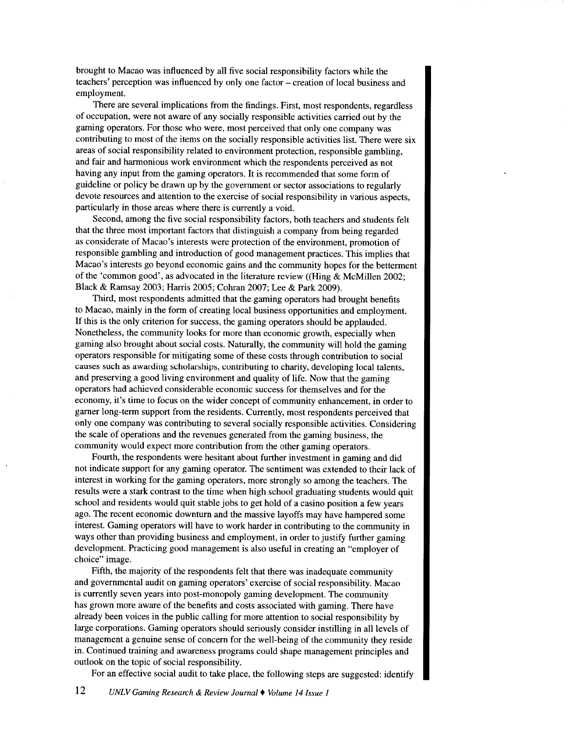brought to Macao was influenced by all five social responsibility factors while the teachers' perception was influenced by only one factor- creation of local business and employment.

There are several implications from the findings. First, most respondents, regardless of occupation, were not aware of any socially responsible activities carried out by the gaming operators. For those who were, most perceived that only one company was contributing to most of the items on the socially responsible activities list. There were six areas of social responsibility related to environment protection, responsible gambling, and fair and harmonious work environment which the respondents perceived as not having any input from the gaming operators. It is recommended that some form of guideline or policy be drawn up by the government or sector associations to regularly devote resources and attention to the exercise of social responsibility in various aspects, particularly in those areas where there is currently a void.

Second, among the five social responsibility factors, both teachers and students felt that the three most important factors that distinguish a company from being regarded as considerate of Macao's interests were protection of the environment, promotion of responsible gambling and introduction of good management practices. This implies that Macao's interests go beyond economic gains and the community hopes for the betterment of the 'common good', as advocated in the literature review ((Hing & McMillen 2002; Black & Ramsay 2003; Harris 2005; Cobran 2007; Lee & Park 2009).

Third, most respondents admitted that the gaming operators had brought benefits to Macao, mainly in the form of creating local business opportunities and employment. If this is the only criterion for success, the gaming operators should be applauded. Nonetheless, the community looks for more than economic growth, especially when gaming also brought about social costs. Naturally, the community will hold the gaming operators responsible for mitigating some of these costs through contribution to social causes such as awarding scholarships, contributing to charity, developing local talents, and preserving a good living environment and quality of life. Now that the gaming operators had achieved considerable economic success for themselves and for the economy, it's time to focus on the wider concept of community enhancement, in order to garner long-term support from the residents. Currently, most respondents perceived that only one company was contributing to several socially responsible activities. Considering the scale of operations and the revenues generated from the gaming business, the community would expect more contribution from the other gaming operators.

Fourth, the respondents were hesitant about further investment in gaming and did not indicate support for any gaming operator. The sentiment was extended to their lack of interest in working for the gaming operators, more strongly so among the teachers. The results were a stark contrast to the time when high school graduating students would quit school and residents would quit stable jobs to get hold of a casino position a few years ago. The recent economic downturn and the massive layoffs may have hampered some interest. Gaming operators will have to work harder in contributing to the community in ways other than providing business and employment, in order to justify further gaming development. Practicing good management is also useful in creating an "employer of choice" image.

Fifth, the majority of the respondents felt that there was inadequate community and governmental audit on gaming operators' exercise of social responsibility. Macao is currently seven years into post-monopoly gaming development. The community has grown more aware of the benefits and costs associated with gaming. There have already been voices in the public calling for more attention to social responsibility by large corporations. Gaming operators should seriously consider instilling in all levels of management a genuine sense of concern for the well-being of the community they reside in. Continued training and awareness programs could shape management principles and outlook on the topic of social responsibility.

For an effective social audit to take place, the following steps are suggested: identify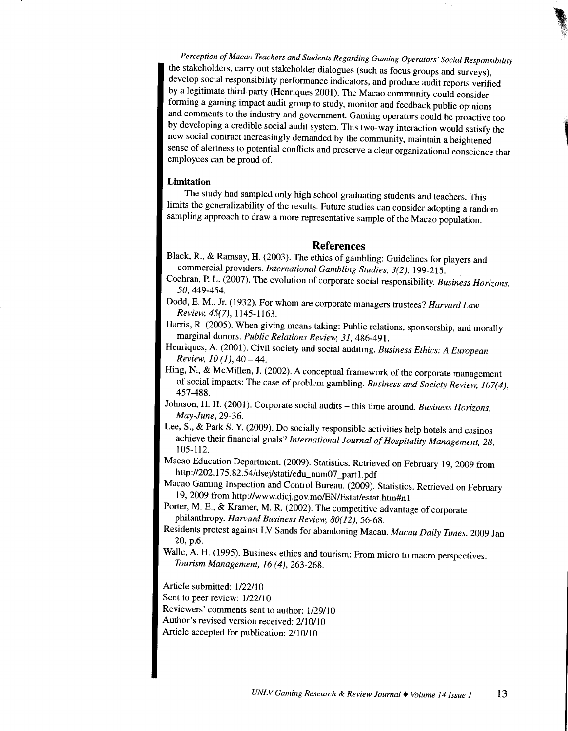*Perception of Macao Teachers and Students Regarding Gaming Operators' Social Responsibility*  the stakeholders, carry out stakeholder dialogues (such as focus groups and surveys), develop social responsibility performance indicators, and produce audit reports verified by a legitimate third-party (Henriques 2001). The Macao community could consider forming a gaming impact audit group to study, monitor and feedback public opinions and comments to the industry and government. Gaming operators could be proactive too by developing a credible social audit system. This two-way interaction would satisfy the new social contract increasingly demanded by the community, maintain a heightened sense of alertness to potential conflicts and preserve a clear organizational conscience that employees can be proud of.

**'** 

## **Limitation**

The study had sampled only high school graduating students and teachers. This limits the generalizability of the results. Future studies can consider adopting a random sampling approach to draw a more representative sample of the Macao population.

## **References**

- Black, R., & Ramsay, H. (2003). The ethics of gambling: Guidelines for players and commercial providers. *International Gambling Studies, 3(2),* 199-215.
- Cochran, P. L. (2007). The evolution of corporate social responsibility. *Business Horizons,*  50, 449-454.
- Dodd, E. M., Jr. (1932). For whom are corporate managers trustees? *Harvard Law Review, 45(7),* 1145-1163.
- Harris, R. (2005). When giving means taking: Public relations, sponsorship, and morally marginal donors. *Public Relations Review, 31,* 486-491.
- Henriques, A. (2001). Civil society and social auditing. *Business Ethics: A European Review, 10 (1), 40 – 44.*
- Hing, N., & McMillen, J. (2002). A conceptual framework of the corporate management of social impacts: The case of problem gambling. Business and Society Review, 107(4), 457-488.
- Johnson, H. H. (2001). Corporate social audits- this time around. *Business Horizons, May-June,* 29-36.
- Lee, S., & Park S. Y. (2009). Do socially responsible activities help hotels and casinos achieve their financial goals? *International Journal of Hospitality Management, 28,*  105-112.
- Macao Education Department. (2009). Statistics. Retrieved on February 19, 2009 from http://202.175.82.54/dsej/stati/edu\_num07\_part1.pdf

Macao Gaming Inspection and Control Bureau. (2009). Statistics. Retrieved on February 19, 2009 from http://www.dicj.gov.mo/EN/Estat/estat.htm#n1

- Porter, M. E., & Kramer, M. R. (2002). The competitive advantage of corporate <sup>p</sup>hilanthropy. *Harvard Business Review, 80( 12),* 56-68.
- Residents protest against LV Sands for abandoning Macau. *Macau Daily Times.* 2009 Jan 20, p.6.
- Walle, A. H. (1995). Business ethics and tourism: From micro to macro perspectives. *Tourism Management, 16 (4),* 263-268.

Article submitted:  $1/22/10$ 

Sent to peer review:  $1/22/10$ 

- Reviewers' comments sent to author: 1/29/10
- Author's revised version received: 2/10/10
- Article accepted for publication: 2110/10